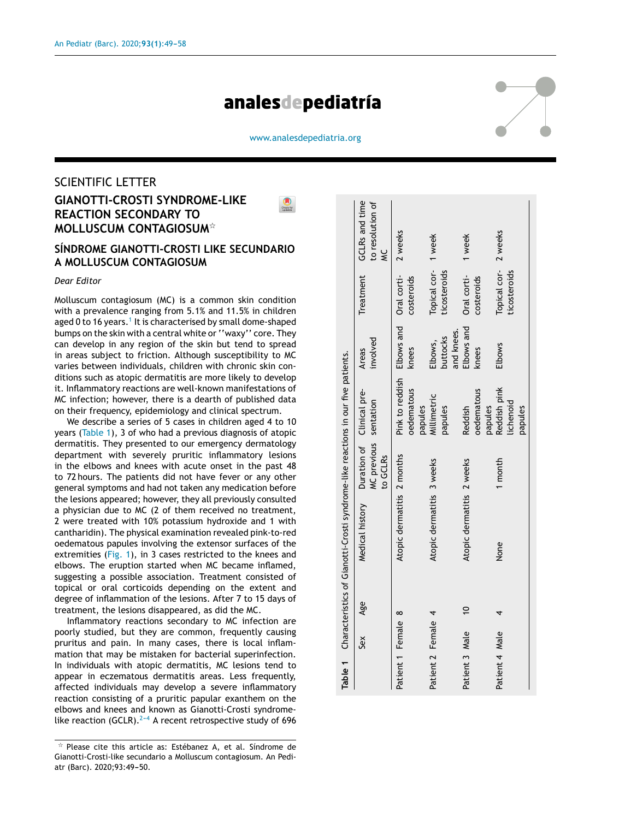# analesdepediatría



[www.analesdepediatria.org](http://www.analesdepediatria.org)

# SCIENTIFIC LETTER **GIANOTTI-CROSTI SYNDROME-LIKE REACTION SECONDARY TO MOLLUSCUM CONTAGIOSUM**-

### **SÍNDROME GIANOTTI-CROSTI LIKE SECUNDARIO A MOLLUSCUM CONTAGIOSUM**

#### *Dear Editor*

Molluscum contagiosum (MC) is a common skin condition with a prevalence ranging from 5.1% and 11.5% in children aged 0 to 16 years.<sup>1</sup> [It](#page-1-0) is characterised by small dome-shaped bumps on the skin with a central white or "waxy" core. They can develop in any region of the skin but tend to spread in areas subject to friction. Although susceptibility to MC varies between individuals, children with chronic skin conditions such as atopic dermatitis are more likely to develop it. Inflammatory reactions are well-known manifestations of MC infection; however, there is a dearth of published data on their frequency, epidemiology and clinical spectrum.

We describe a series of 5 cases in children aged 4 to 10 years (Table 1), 3 of who had a previous diagnosis of atopic dermatitis. They presented to our emergency dermatology department with severely pruritic inflammatory lesions in the elbows and knees with acute onset in the past 48 to 72 hours. The patients did not have fever or any other general symptoms and had not taken any medication before the lesions appeared; however, they all previously consulted a physician due to MC (2 of them received no treatment, 2 were treated with 10% potassium hydroxide and 1 with cantharidin). The physical examination revealed pink-to-red oedematous papules involving the extensor surfaces of the extremities ([Fig.](#page-1-0) 1), in 3 cases restricted to the knees and elbows. The eruption started when MC became inflamed, suggesting a possible association. Treatment consisted of topical or oral corticoids depending on the extent and degree of inflammation of the lesions. After 7 to 15 days of treatment, the lesions disappeared, as did the MC.

Inflammatory reactions secondary to MC infection are poorly studied, but they are common, frequently causing pruritus and pain. In many cases, there is local inflammation that may be mistaken for bacterial superinfection. In individuals with atopic dermatitis, MC lesions tend to appear in eczematous dermatitis areas. Less frequently, affected individuals may develop a severe inflammatory reaction consisting of a pruritic papular exanthem on the elbows and knees and known as Gianotti-Crosti syndromelike reaction (GCLR).<sup>2-4</sup> A recent retrospective study of 696

|                    |     |                | Table 1 Characteristics of Gianotti-Crosti syndrome-like reactions in our five patients. |                                   |                                                                         |                                   |                                               |                                    |
|--------------------|-----|----------------|------------------------------------------------------------------------------------------|-----------------------------------|-------------------------------------------------------------------------|-----------------------------------|-----------------------------------------------|------------------------------------|
|                    | Sex | Age            | Medical history Duration of Clinical pre-                                                | MC previous sentation<br>to GCLRs |                                                                         | involved<br>Areas                 | Treatment                                     | GCLRs and time<br>to resolution of |
| Patient 1 Female 8 |     |                | Atopic dermatitis 2 months                                                               |                                   | Pink to reddish Elbows and Oral corti- 2 weeks<br>oedematous<br>papules | knees                             | costeroids                                    |                                    |
| Patient 2 Female 4 |     |                | Atopic dermatitis 3 weeks                                                                |                                   | Millimetric<br>papules                                                  | and knees.<br>buttocks<br>Elbows, | Topical cor- 1 week<br><b>icosteroids</b>     |                                    |
| Patient 3 Male     |     | $\overline{0}$ | Atopic dermatitis 2 weeks                                                                |                                   | oedematous<br>papules<br>Reddish                                        | Elbows and<br>knees               | Oral corti-<br>costeroids                     | 1 week                             |
| Patient 4 Male     |     |                | None                                                                                     | 1 month                           | Reddish pink<br>lichenoid<br>papules                                    | <b>Elbows</b>                     | Topical cor-<br>2 weeks<br><b>icosteroids</b> |                                    |

 $\star$  Please cite this article as: Estébanez A, et al. Síndrome de Gianotti-Crosti-like secundario a Molluscum contagiosum. An Pediatr (Barc). 2020;93:49-50.